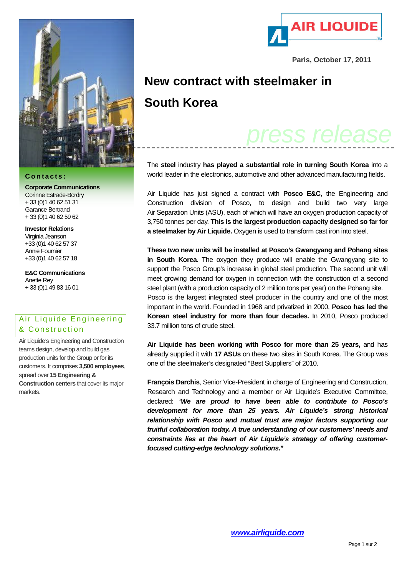

## **C o n t a c t s :**

**Corporate Communications** Corinne Estrade-Bordry + 33 (0)1 40 62 51 31 Garance Bertrand + 33 (0)1 40 62 59 62

**Investor Relations** Virginia Jeanson +33 (0)1 40 62 57 37 Annie Fournier +33 (0)1 40 62 57 18

**E&C Communications** Anette Rey + 33 (0)1 49 83 16 01

## Air Liquide Engineering & Construction

Air Liquide's Engineering and Construction teams design, develop and build gas production units for the Group or for its customers. It comprises **3,500 employees**, spread over **15 Engineering & Construction centers** that cover its major markets.



**Paris, October 17, 2011**

## **New contract with steelmaker in South Korea**

## *press release*

The **steel** industry **has played a substantial role in turning South Korea** into a world leader in the electronics, automotive and other advanced manufacturing fields.

Air Liquide has just signed a contract with **Posco E&C**, the Engineering and Construction division of Posco, to design and build two very large Air Separation Units (ASU), each of which will have an oxygen production capacity of 3,750 tonnes per day. **This is the largest production capacity designed so far for a steelmaker by Air Liquide.** Oxygen is used to transform cast iron into steel.

**These two new units will be installed at Posco's Gwangyang and Pohang sites in South Korea.** The oxygen they produce will enable the Gwangyang site to support the Posco Group's increase in global steel production. The second unit will meet growing demand for oxygen in connection with the construction of a second steel plant (with a production capacity of 2 million tons per year) on the Pohang site. Posco is the largest integrated steel producer in the country and one of the most important in the world. Founded in 1968 and privatized in 2000, **Posco has led the Korean steel industry for more than four decades.** In 2010, Posco produced 33.7 million tons of crude steel.

**Air Liquide has been working with Posco for more than 25 years,** and has already supplied it with **17 ASUs** on these two sites in South Korea. The Group was one of the steelmaker's designated "Best Suppliers" of 2010.

**François Darchis**, Senior Vice-President in charge of Engineering and Construction, Research and Technology and a member or Air Liquide's Executive Committee, declared: "*We are proud to have been able to contribute to Posco's development for more than 25 years. Air Liquide's strong historical relationship with Posco and mutual trust are major factors supporting our fruitful collaboration today. A true understanding of our customers' needs and constraints lies at the heart of Air Liquide's strategy of offering customerfocused cutting-edge technology solutions***."**